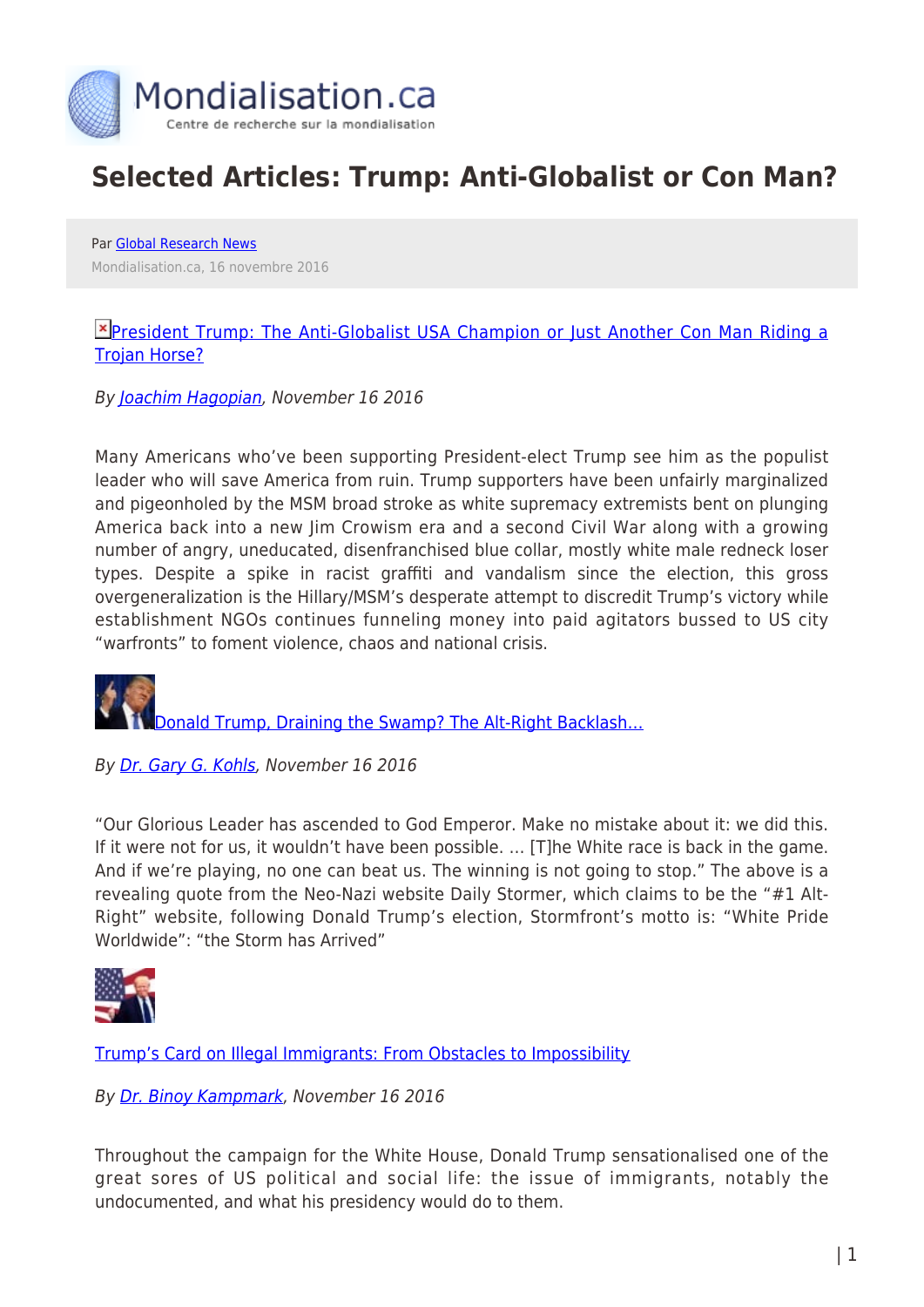

## **Selected Articles: Trump: Anti-Globalist or Con Man?**

Par [Global Research News](https://www.mondialisation.ca/author/global-research-news) Mondialisation.ca, 16 novembre 2016

## **E**[President Trump: The Anti-Globalist USA Champion or Just Another Con Man Riding a](http://www.globalresearch.ca/president-trump-the-anti-globalist-usa-champion-or-just-another-con-man-riding-a-trojan-horse/5557261) [Trojan Horse?](http://www.globalresearch.ca/president-trump-the-anti-globalist-usa-champion-or-just-another-con-man-riding-a-trojan-horse/5557261)

By [Joachim Hagopian,](http://www.globalresearch.ca/author/hagopian) November 16 2016

Many Americans who've been supporting President-elect Trump see him as the populist leader who will save America from ruin. Trump supporters have been unfairly marginalized and pigeonholed by the MSM broad stroke as white supremacy extremists bent on plunging America back into a new Jim Crowism era and a second Civil War along with a growing number of angry, uneducated, disenfranchised blue collar, mostly white male redneck loser types. Despite a spike in racist graffiti and vandalism since the election, this gross overgeneralization is the Hillary/MSM's desperate attempt to discredit Trump's victory while establishment NGOs continues funneling money into paid agitators bussed to US city "warfronts" to foment violence, chaos and national crisis.

[Donald Trump, Draining the Swamp? The Alt-Right Backlash…](http://www.globalresearch.ca/donald-trump-draining-the-swamp-the-alt-right-backlash/5557202)

By [Dr. Gary G. Kohls,](http://www.globalresearch.ca/author/gary-g-kohls) November 16 2016

"Our Glorious Leader has ascended to God Emperor. Make no mistake about it: we did this. If it were not for us, it wouldn't have been possible. … [T]he White race is back in the game. And if we're playing, no one can beat us. The winning is not going to stop." The above is a revealing quote from the Neo-Nazi website Daily Stormer, which claims to be the "#1 Alt-Right" website, following Donald Trump's election, Stormfront's motto is: "White Pride Worldwide": "the Storm has Arrived"



[Trump's Card on Illegal Immigrants: From Obstacles to Impossibility](http://www.globalresearch.ca/trumps-card-on-illegal-immigrants-from-obstacles-to-impossibility/5557194)

## By [Dr. Binoy Kampmark,](http://www.globalresearch.ca/author/binoy-kampmark) November 16 2016

Throughout the campaign for the White House, Donald Trump sensationalised one of the great sores of US political and social life: the issue of immigrants, notably the undocumented, and what his presidency would do to them.